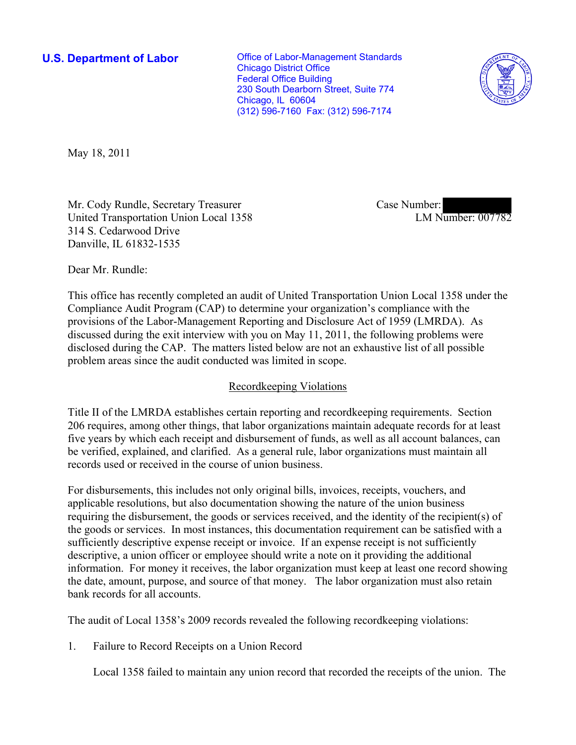**U.S. Department of Labor Conservative Conservative Conservative Conservative Conservative Conservative Conservative Conservative Conservative Conservative Conservative Conservative Conservative Conservative Conservative** Chicago District Office Federal Office Building 230 South Dearborn Street, Suite 774 Chicago, IL 60604 (312) 596-7160 Fax: (312) 596-7174



May 18, 2011

Mr. Cody Rundle, Secretary Treasurer United Transportation Union Local 1358 314 S. Cedarwood Drive Danville, IL 61832-1535

Case Number: LM Number: 007782

Dear Mr. Rundle:

This office has recently completed an audit of United Transportation Union Local 1358 under the Compliance Audit Program (CAP) to determine your organization's compliance with the provisions of the Labor-Management Reporting and Disclosure Act of 1959 (LMRDA). As discussed during the exit interview with you on May 11, 2011, the following problems were disclosed during the CAP. The matters listed below are not an exhaustive list of all possible problem areas since the audit conducted was limited in scope.

## Recordkeeping Violations

Title II of the LMRDA establishes certain reporting and recordkeeping requirements. Section 206 requires, among other things, that labor organizations maintain adequate records for at least five years by which each receipt and disbursement of funds, as well as all account balances, can be verified, explained, and clarified. As a general rule, labor organizations must maintain all records used or received in the course of union business.

For disbursements, this includes not only original bills, invoices, receipts, vouchers, and applicable resolutions, but also documentation showing the nature of the union business requiring the disbursement, the goods or services received, and the identity of the recipient(s) of the goods or services. In most instances, this documentation requirement can be satisfied with a sufficiently descriptive expense receipt or invoice. If an expense receipt is not sufficiently descriptive, a union officer or employee should write a note on it providing the additional information. For money it receives, the labor organization must keep at least one record showing the date, amount, purpose, and source of that money. The labor organization must also retain bank records for all accounts.

The audit of Local 1358's 2009 records revealed the following recordkeeping violations:

1. Failure to Record Receipts on a Union Record

Local 1358 failed to maintain any union record that recorded the receipts of the union. The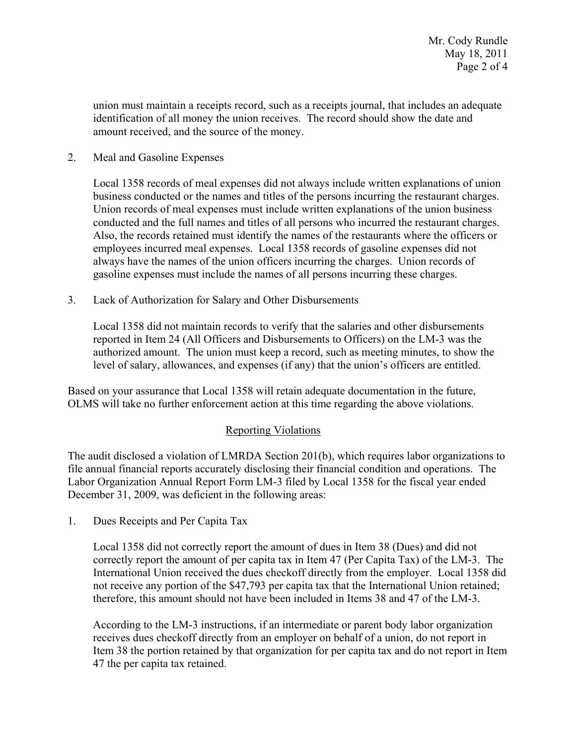union must maintain a receipts record, such as a receipts journal, that includes an adequate identification of all money the union receives. The record should show the date and amount received, and the source of the money.

2. Meal and Gasoline Expenses

Local 1358 records of meal expenses did not always include written explanations of union business conducted or the names and titles of the persons incurring the restaurant charges. Union records of meal expenses must include written explanations of the union business conducted and the full names and titles of all persons who incurred the restaurant charges. Also, the records retained must identify the names of the restaurants where the officers or employees incurred meal expenses. Local 1358 records of gasoline expenses did not always have the names of the union officers incurring the charges. Union records of gasoline expenses must include the names of all persons incurring these charges.

3. Lack of Authorization for Salary and Other Disbursements

Local 1358 did not maintain records to verify that the salaries and other disbursements reported in Item 24 (All Officers and Disbursements to Officers) on the LM-3 was the authorized amount. The union must keep a record, such as meeting minutes, to show the level of salary, allowances, and expenses (if any) that the union's officers are entitled.

Based on your assurance that Local 1358 will retain adequate documentation in the future, OLMS will take no further enforcement action at this time regarding the above violations.

## Reporting Violations

The audit disclosed a violation of LMRDA Section 201(b), which requires labor organizations to file annual financial reports accurately disclosing their financial condition and operations. The Labor Organization Annual Report Form LM-3 filed by Local 1358 for the fiscal year ended December 31, 2009, was deficient in the following areas:

1. Dues Receipts and Per Capita Tax

Local 1358 did not correctly report the amount of dues in Item 38 (Dues) and did not correctly report the amount of per capita tax in Item 47 (Per Capita Tax) of the LM-3. The International Union received the dues checkoff directly from the employer. Local 1358 did not receive any portion of the \$47,793 per capita tax that the International Union retained; therefore, this amount should not have been included in Items 38 and 47 of the LM-3.

According to the LM-3 instructions, if an intermediate or parent body labor organization receives dues checkoff directly from an employer on behalf of a union, do not report in Item 38 the portion retained by that organization for per capita tax and do not report in Item 47 the per capita tax retained.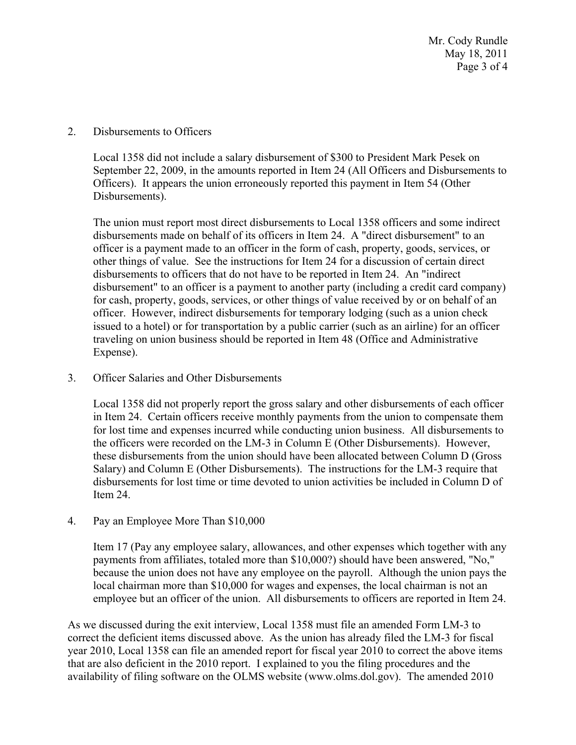2. Disbursements to Officers

Local 1358 did not include a salary disbursement of \$300 to President Mark Pesek on September 22, 2009, in the amounts reported in Item 24 (All Officers and Disbursements to Officers). It appears the union erroneously reported this payment in Item 54 (Other Disbursements).

The union must report most direct disbursements to Local 1358 officers and some indirect disbursements made on behalf of its officers in Item 24. A "direct disbursement" to an officer is a payment made to an officer in the form of cash, property, goods, services, or other things of value. See the instructions for Item 24 for a discussion of certain direct disbursements to officers that do not have to be reported in Item 24. An "indirect disbursement" to an officer is a payment to another party (including a credit card company) for cash, property, goods, services, or other things of value received by or on behalf of an officer. However, indirect disbursements for temporary lodging (such as a union check issued to a hotel) or for transportation by a public carrier (such as an airline) for an officer traveling on union business should be reported in Item 48 (Office and Administrative Expense).

3. Officer Salaries and Other Disbursements

Local 1358 did not properly report the gross salary and other disbursements of each officer in Item 24. Certain officers receive monthly payments from the union to compensate them for lost time and expenses incurred while conducting union business. All disbursements to the officers were recorded on the LM-3 in Column E (Other Disbursements). However, these disbursements from the union should have been allocated between Column D (Gross Salary) and Column E (Other Disbursements). The instructions for the LM-3 require that disbursements for lost time or time devoted to union activities be included in Column D of Item 24.

4. Pay an Employee More Than \$10,000

Item 17 (Pay any employee salary, allowances, and other expenses which together with any payments from affiliates, totaled more than \$10,000?) should have been answered, "No," because the union does not have any employee on the payroll. Although the union pays the local chairman more than \$10,000 for wages and expenses, the local chairman is not an employee but an officer of the union. All disbursements to officers are reported in Item 24.

As we discussed during the exit interview, Local 1358 must file an amended Form LM-3 to correct the deficient items discussed above. As the union has already filed the LM-3 for fiscal year 2010, Local 1358 can file an amended report for fiscal year 2010 to correct the above items that are also deficient in the 2010 report. I explained to you the filing procedures and the availability of filing software on the OLMS website (www.olms.dol.gov). The amended 2010